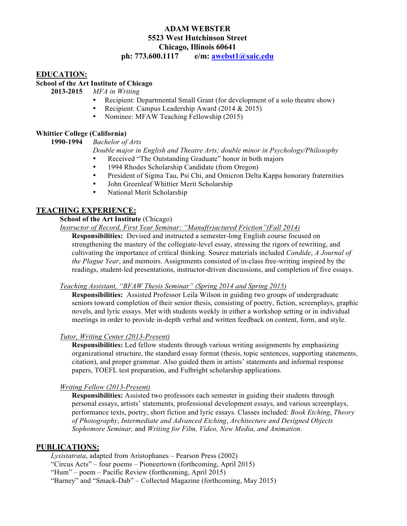# **ADAM WEBSTER 5523 West Hutchinson Street Chicago, Illinois 60641**

**ph: 773.600.1117 e/m: awebst1@saic.edu**

### **EDUCATION:**

### **School of the Art Institute of Chicago**

**2013-2015** *MFA in Writing*

- Recipient: Departmental Small Grant (for development of a solo theatre show)
- Recipient: Campus Leadership Award (2014 & 2015)
- Nominee: MFAW Teaching Fellowship (2015)

### **Whittier College (California)**

**1990-1994** *Bachelor of Arts*

#### *Double major in English and Theatre Arts; double minor in Psychology/Philosophy*

- Received "The Outstanding Graduate" honor in both majors
- 1994 Rhodes Scholarship Candidate (from Oregon)<br>• President of Sigma Tau Psi Chi and Omicron Delta
- President of Sigma Tau, Psi Chi, and Omicron Delta Kappa honorary fraternities
- John Greenleaf Whittier Merit Scholarship<br>• National Merit Scholarship
- National Merit Scholarship

### **TEACHING EXPERIENCE:**

# **School of the Art Institute** (Chicago)

*Instructor of Record, First Year Seminar: "Manuf(r)actured Friction"(Fall 2014)*

**Responsibilities:** Devised and instructed a semester-long English course focused on strengthening the mastery of the collegiate-level essay, stressing the rigors of rewriting, and cultivating the importance of critical thinking. Source materials included *Candide*, *A Journal of the Plague Year*, and memoirs. Assignments consisted of in-class free-writing inspired by the readings, student-led presentations, instructor-driven discussions, and completion of five essays.

### *Teaching Assistant, "BFAW Thesis Seminar" (Spring 2014 and Spring 2015)*

**Responsibilities:** Assisted Professor Leila Wilson in guiding two groups of undergraduate seniors toward completion of their senior thesis, consisting of poetry, fiction, screenplays, graphic novels, and lyric essays. Met with students weekly in either a workshop setting or in individual meetings in order to provide in-depth verbal and written feedback on content, form, and style.

#### *Tutor, Writing Center (2013-Present)*

**Responsibilities:** Led fellow students through various writing assignments by emphasizing organizational structure, the standard essay format (thesis, topic sentences, supporting statements, citation), and proper grammar. Also guided them in artists' statements and informal response papers, TOEFL test preparation, and Fulbright scholarship applications.

# *Writing Fellow (2013-Present)*

**Responsibilities:** Assisted two professors each semester in guiding their students through personal essays, artists' statements, professional development essays, and various screenplays, performance texts, poetry, short fiction and lyric essays. Classes included: *Book Etching*, *Theory of Photography*, *Intermediate and Advanced Etching*, *Architecture and Designed Objects Sophomore Seminar,* and *Writing for Film, Video, New Media, and Animation*.

### **PUBLICATIONS:**

*Lysistatrata*, adapted from Aristophanes – Pearson Press (2002)

"Circus Acts" – four poems – Pioneertown (forthcoming, April 2015)

"Hum" – poem – Pacific Review (forthcoming, April 2015)

"Barney" and "Smack-Dab" – Collected Magazine (forthcoming, May 2015)